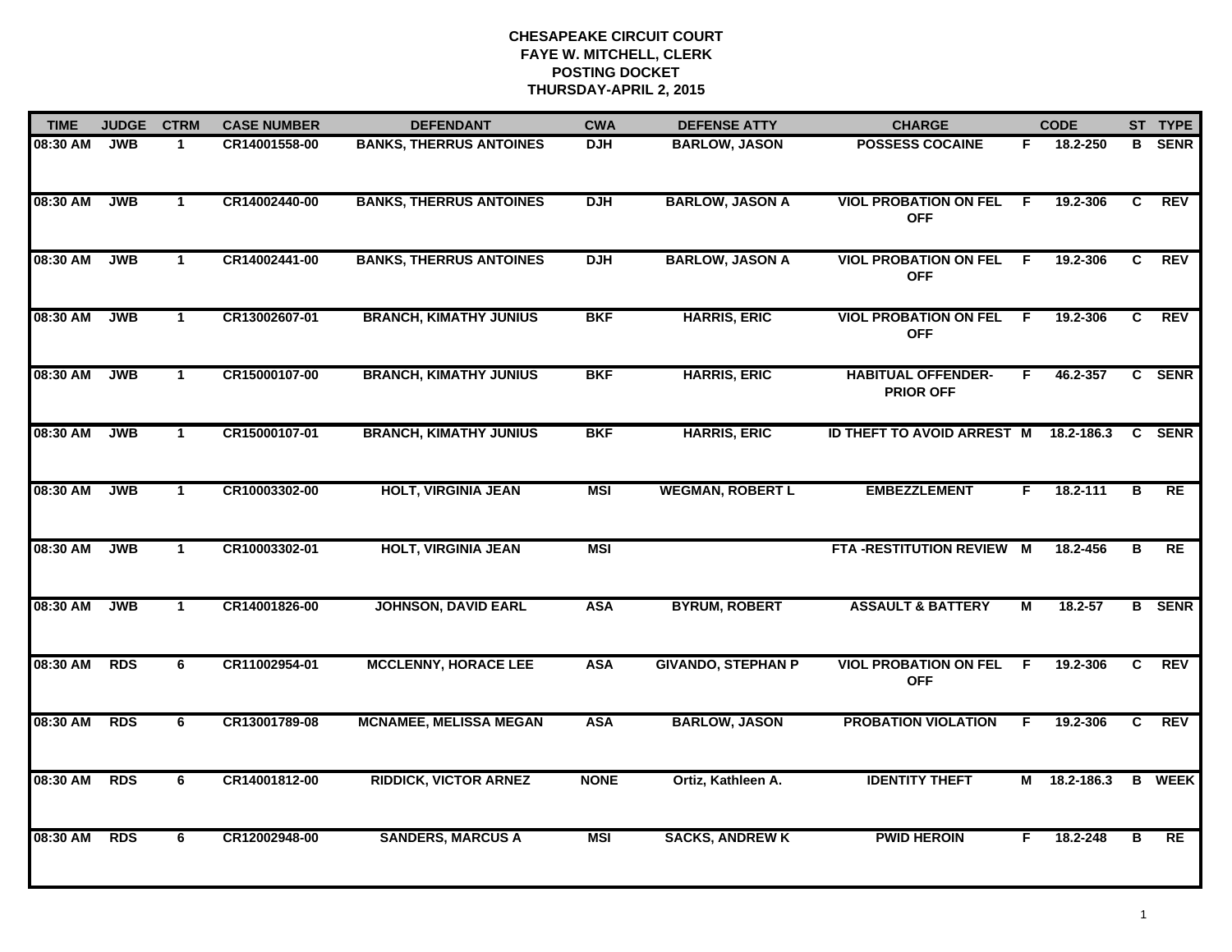| <b>TIME</b> | <b>JUDGE</b> | <b>CTRM</b>  | <b>CASE NUMBER</b> | <b>DEFENDANT</b>               | <b>CWA</b>  | <b>DEFENSE ATTY</b>       | <b>CHARGE</b>                                 |    | <b>CODE</b>  |                | ST TYPE       |
|-------------|--------------|--------------|--------------------|--------------------------------|-------------|---------------------------|-----------------------------------------------|----|--------------|----------------|---------------|
| 08:30 AM    | <b>JWB</b>   | 1            | CR14001558-00      | <b>BANKS, THERRUS ANTOINES</b> | <b>DJH</b>  | <b>BARLOW, JASON</b>      | <b>POSSESS COCAINE</b>                        | F. | 18.2-250     |                | <b>B</b> SENR |
| 08:30 AM    | <b>JWB</b>   | $\mathbf{1}$ | CR14002440-00      | <b>BANKS, THERRUS ANTOINES</b> | <b>DJH</b>  | <b>BARLOW, JASON A</b>    | <b>VIOL PROBATION ON FEL</b><br><b>OFF</b>    | F. | 19.2-306     | C              | <b>REV</b>    |
| 08:30 AM    | <b>JWB</b>   | $\mathbf{1}$ | CR14002441-00      | <b>BANKS, THERRUS ANTOINES</b> | <b>DJH</b>  | <b>BARLOW, JASON A</b>    | <b>VIOL PROBATION ON FEL</b><br><b>OFF</b>    | -F | 19.2-306     | C.             | <b>REV</b>    |
| 08:30 AM    | <b>JWB</b>   | $\mathbf 1$  | CR13002607-01      | <b>BRANCH, KIMATHY JUNIUS</b>  | <b>BKF</b>  | <b>HARRIS, ERIC</b>       | <b>VIOL PROBATION ON FEL</b><br><b>OFF</b>    | -F | 19.2-306     | C              | <b>REV</b>    |
| 08:30 AM    | <b>JWB</b>   | $\mathbf{1}$ | CR15000107-00      | <b>BRANCH, KIMATHY JUNIUS</b>  | <b>BKF</b>  | <b>HARRIS, ERIC</b>       | <b>HABITUAL OFFENDER-</b><br><b>PRIOR OFF</b> | F. | 46.2-357     |                | C SENR        |
| 08:30 AM    | <b>JWB</b>   | $\mathbf{1}$ | CR15000107-01      | <b>BRANCH, KIMATHY JUNIUS</b>  | <b>BKF</b>  | <b>HARRIS, ERIC</b>       | <b>ID THEFT TO AVOID ARREST M</b>             |    | 18.2-186.3   |                | <b>C</b> SENR |
| 08:30 AM    | <b>JWB</b>   | $\mathbf{1}$ | CR10003302-00      | <b>HOLT, VIRGINIA JEAN</b>     | <b>MSI</b>  | <b>WEGMAN, ROBERT L</b>   | <b>EMBEZZLEMENT</b>                           | F. | $18.2 - 111$ | $\overline{B}$ | RE            |
| 08:30 AM    | <b>JWB</b>   | $\mathbf{1}$ | CR10003302-01      | <b>HOLT, VIRGINIA JEAN</b>     | <b>MSI</b>  |                           | FTA-RESTITUTION REVIEW M                      |    | 18.2-456     | в              | RE            |
| 08:30 AM    | <b>JWB</b>   | $\mathbf 1$  | CR14001826-00      | <b>JOHNSON, DAVID EARL</b>     | <b>ASA</b>  | <b>BYRUM, ROBERT</b>      | <b>ASSAULT &amp; BATTERY</b>                  | Μ  | 18.2-57      |                | <b>B</b> SENR |
| 08:30 AM    | <b>RDS</b>   | 6            | CR11002954-01      | <b>MCCLENNY, HORACE LEE</b>    | <b>ASA</b>  | <b>GIVANDO, STEPHAN P</b> | <b>VIOL PROBATION ON FEL</b><br><b>OFF</b>    | F. | 19.2-306     | C.             | <b>REV</b>    |
| 08:30 AM    | <b>RDS</b>   | 6            | CR13001789-08      | <b>MCNAMEE, MELISSA MEGAN</b>  | <b>ASA</b>  | <b>BARLOW, JASON</b>      | <b>PROBATION VIOLATION</b>                    | F  | 19.2-306     | C              | REV           |
| 08:30 AM    | <b>RDS</b>   | 6            | CR14001812-00      | <b>RIDDICK, VICTOR ARNEZ</b>   | <b>NONE</b> | Ortiz, Kathleen A.        | <b>IDENTITY THEFT</b>                         | М  | 18.2-186.3   |                | <b>B</b> WEEK |
| 08:30 AM    | <b>RDS</b>   | 6            | CR12002948-00      | <b>SANDERS, MARCUS A</b>       | <b>MSI</b>  | <b>SACKS, ANDREW K</b>    | <b>PWID HEROIN</b>                            | F. | 18.2-248     | в              | <b>RE</b>     |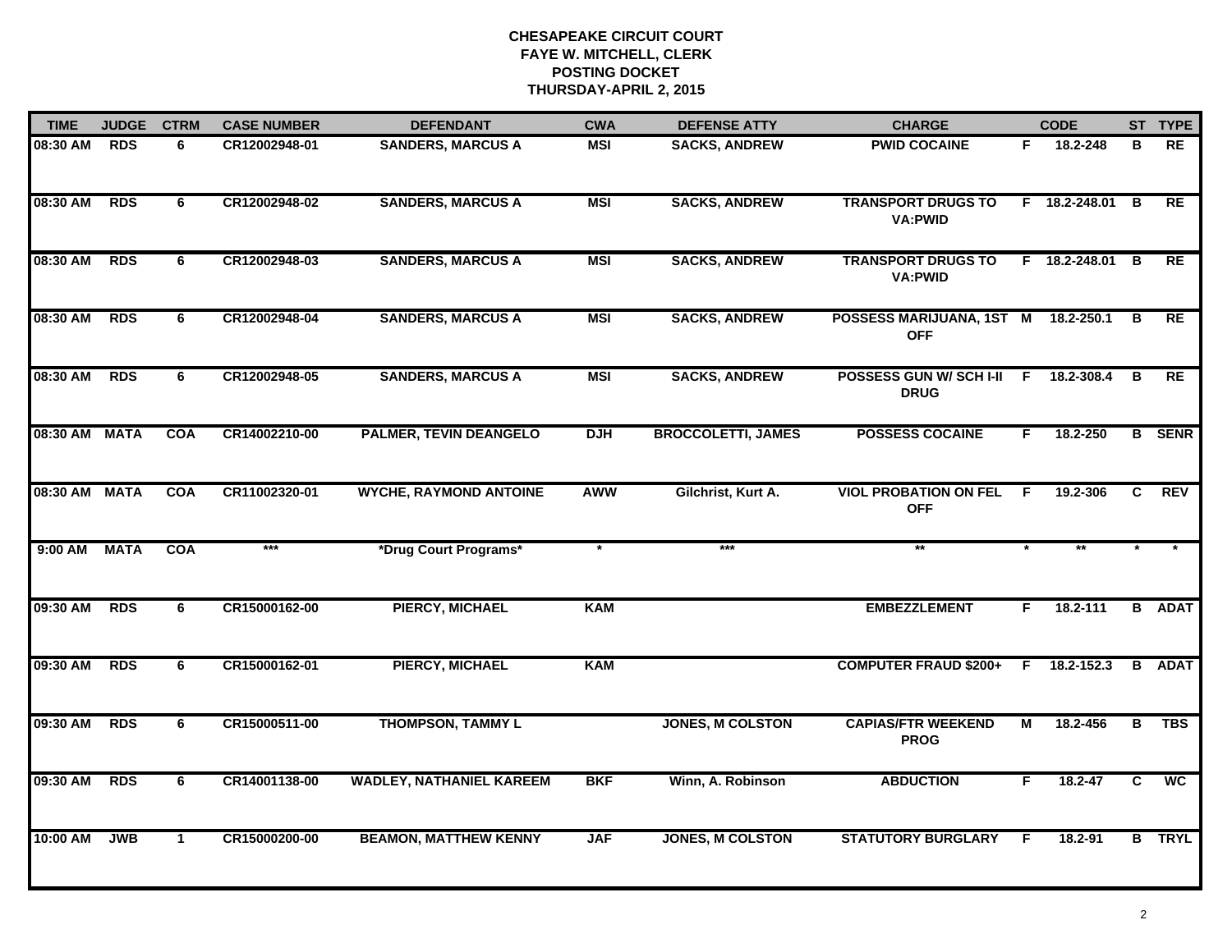| <b>TIME</b>   | <b>JUDGE</b> | <b>CTRM</b> | <b>CASE NUMBER</b> | <b>DEFENDANT</b>                | <b>CWA</b> | <b>DEFENSE ATTY</b>       | <b>CHARGE</b>                                     |                | <b>CODE</b>     |                | ST TYPE         |
|---------------|--------------|-------------|--------------------|---------------------------------|------------|---------------------------|---------------------------------------------------|----------------|-----------------|----------------|-----------------|
| 08:30 AM      | <b>RDS</b>   | 6           | CR12002948-01      | <b>SANDERS, MARCUS A</b>        | <b>MSI</b> | <b>SACKS, ANDREW</b>      | <b>PWID COCAINE</b>                               | F.             | 18.2-248        | в              | <b>RE</b>       |
| 08:30 AM RDS  |              | 6           | CR12002948-02      | <b>SANDERS, MARCUS A</b>        | <b>MSI</b> | <b>SACKS, ANDREW</b>      | <b>TRANSPORT DRUGS TO</b><br><b>VA:PWID</b>       |                | F 18.2-248.01 B |                | <b>RE</b>       |
| 08:30 AM      | <b>RDS</b>   | 6           | CR12002948-03      | <b>SANDERS, MARCUS A</b>        | <b>MSI</b> | <b>SACKS, ANDREW</b>      | <b>TRANSPORT DRUGS TO</b><br><b>VA:PWID</b>       |                | F 18.2-248.01 B |                | <b>RE</b>       |
| 08:30 AM      | <b>RDS</b>   | 6           | CR12002948-04      | <b>SANDERS, MARCUS A</b>        | <b>MSI</b> | <b>SACKS, ANDREW</b>      | POSSESS MARIJUANA, 1ST M 18.2-250.1<br><b>OFF</b> |                |                 | В              | RE              |
| 08:30 AM      | <b>RDS</b>   | 6           | CR12002948-05      | <b>SANDERS, MARCUS A</b>        | <b>MSI</b> | <b>SACKS, ANDREW</b>      | POSSESS GUN W/ SCH I-II<br><b>DRUG</b>            | F.             | 18.2-308.4      | В              | RE              |
| 08:30 AM MATA |              | <b>COA</b>  | CR14002210-00      | <b>PALMER, TEVIN DEANGELO</b>   | <b>DJH</b> | <b>BROCCOLETTI, JAMES</b> | <b>POSSESS COCAINE</b>                            | F.             | 18.2-250        |                | <b>B</b> SENR   |
| 08:30 AM MATA |              | <b>COA</b>  | CR11002320-01      | <b>WYCHE, RAYMOND ANTOINE</b>   | AWW        | Gilchrist, Kurt A.        | <b>VIOL PROBATION ON FEL</b><br><b>OFF</b>        | $\overline{F}$ | 19.2-306        | $\overline{c}$ | <b>REV</b>      |
| 9:00 AM       | <b>MATA</b>  | <b>COA</b>  | ***                | *Drug Court Programs*           |            | ***                       | $**$                                              |                |                 |                |                 |
| 09:30 AM      | <b>RDS</b>   | 6           | CR15000162-00      | <b>PIERCY, MICHAEL</b>          | <b>KAM</b> |                           | <b>EMBEZZLEMENT</b>                               | F.             | 18.2-111        |                | <b>B</b> ADAT   |
| 09:30 AM      | <b>RDS</b>   | 6           | CR15000162-01      | <b>PIERCY, MICHAEL</b>          | <b>KAM</b> |                           | <b>COMPUTER FRAUD \$200+</b>                      | F.             | 18.2-152.3      |                | <b>B</b> ADAT   |
| 09:30 AM      | <b>RDS</b>   | 6           | CR15000511-00      | <b>THOMPSON, TAMMY L</b>        |            | <b>JONES, M COLSTON</b>   | <b>CAPIAS/FTR WEEKEND</b><br><b>PROG</b>          | М              | 18.2-456        | В              | <b>TBS</b>      |
| 09:30 AM      | <b>RDS</b>   | 6           | CR14001138-00      | <b>WADLEY, NATHANIEL KAREEM</b> | <b>BKF</b> | Winn, A. Robinson         | <b>ABDUCTION</b>                                  | F              | 18.2-47         | $\overline{c}$ | $\overline{wc}$ |
| 10:00 AM      | <b>JWB</b>   | $\mathbf 1$ | CR15000200-00      | <b>BEAMON, MATTHEW KENNY</b>    | <b>JAF</b> | <b>JONES, M COLSTON</b>   | <b>STATUTORY BURGLARY</b>                         | F              | 18.2-91         |                | <b>B</b> TRYL   |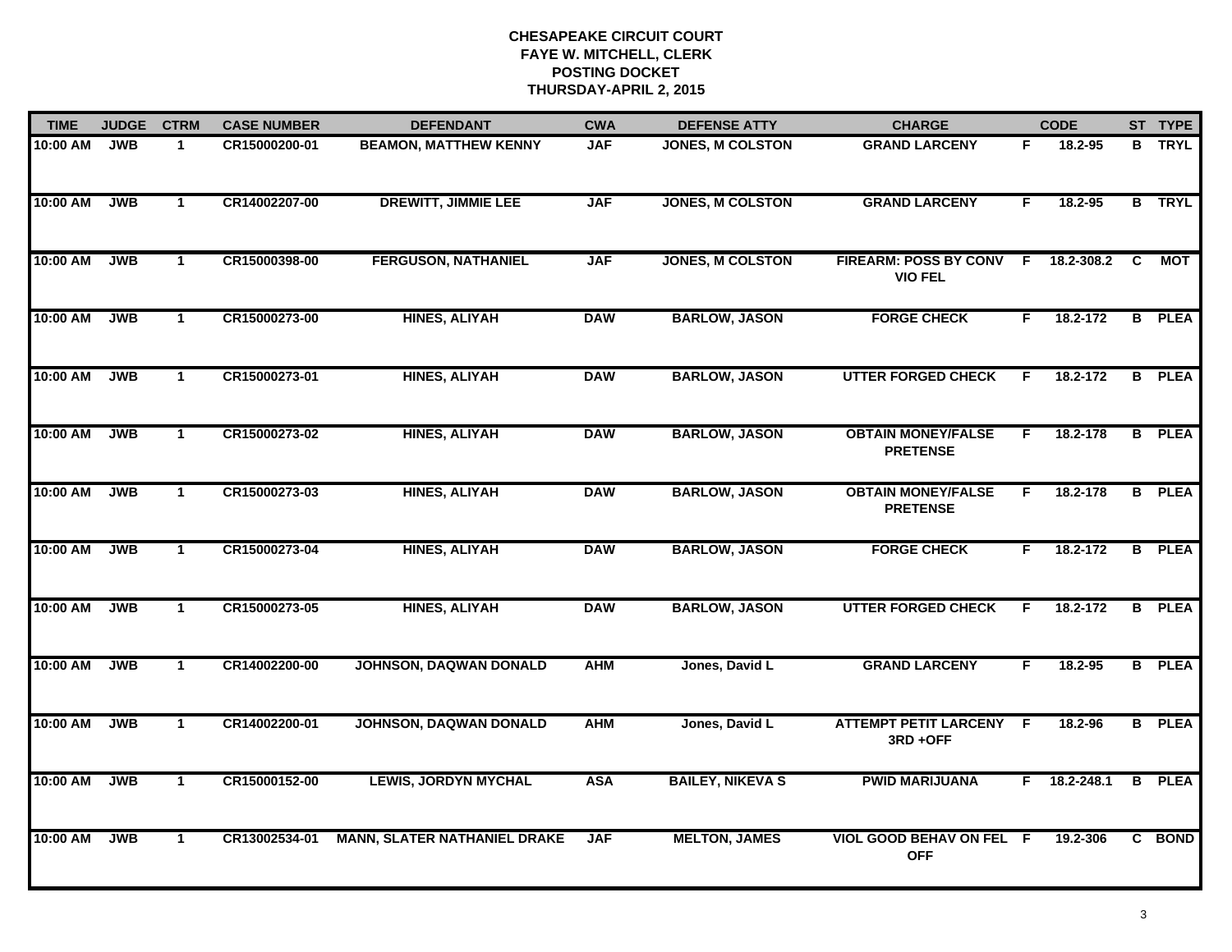| <b>TIME</b> | <b>JUDGE</b> | <b>CTRM</b>  | <b>CASE NUMBER</b> | <b>CHARGE</b><br><b>DEFENDANT</b><br><b>CWA</b><br><b>DEFENSE ATTY</b> |            |                         | <b>CODE</b>                                    |    | ST TYPE        |   |               |
|-------------|--------------|--------------|--------------------|------------------------------------------------------------------------|------------|-------------------------|------------------------------------------------|----|----------------|---|---------------|
| 10:00 AM    | <b>JWB</b>   | $\mathbf{1}$ | CR15000200-01      | <b>BEAMON, MATTHEW KENNY</b>                                           | <b>JAF</b> | <b>JONES, M COLSTON</b> | <b>GRAND LARCENY</b>                           | F  | 18.2-95        |   | <b>B</b> TRYL |
| 10:00 AM    | <b>JWB</b>   | $\mathbf{1}$ | CR14002207-00      | <b>DREWITT, JIMMIE LEE</b>                                             | <b>JAF</b> | <b>JONES, M COLSTON</b> | <b>GRAND LARCENY</b>                           | F. | 18.2-95        |   | <b>B</b> TRYL |
| 10:00 AM    | <b>JWB</b>   | $\mathbf{1}$ | CR15000398-00      | <b>FERGUSON, NATHANIEL</b>                                             | <b>JAF</b> | <b>JONES, M COLSTON</b> | <b>FIREARM: POSS BY CONV</b><br><b>VIO FEL</b> | E  | 18.2-308.2     | C | <b>MOT</b>    |
| 10:00 AM    | <b>JWB</b>   | $\mathbf{1}$ | CR15000273-00      | <b>HINES, ALIYAH</b>                                                   | <b>DAW</b> | <b>BARLOW, JASON</b>    | <b>FORGE CHECK</b>                             | F. | 18.2-172       |   | <b>B</b> PLEA |
| 10:00 AM    | <b>JWB</b>   | $\mathbf 1$  | CR15000273-01      | <b>HINES, ALIYAH</b>                                                   | <b>DAW</b> | <b>BARLOW, JASON</b>    | <b>UTTER FORGED CHECK</b>                      | F. | 18.2-172       |   | <b>B</b> PLEA |
| 10:00 AM    | <b>JWB</b>   | $\mathbf{1}$ | CR15000273-02      | <b>HINES, ALIYAH</b>                                                   | <b>DAW</b> | <b>BARLOW, JASON</b>    | <b>OBTAIN MONEY/FALSE</b><br><b>PRETENSE</b>   | F. | 18.2-178       |   | <b>B</b> PLEA |
| 10:00 AM    | <b>JWB</b>   | $\mathbf{1}$ | CR15000273-03      | HINES, ALIYAH                                                          | <b>DAW</b> | <b>BARLOW, JASON</b>    | <b>OBTAIN MONEY/FALSE</b><br><b>PRETENSE</b>   | F. | 18.2-178       |   | <b>B</b> PLEA |
| 10:00 AM    | <b>JWB</b>   | $\mathbf{1}$ | CR15000273-04      | <b>HINES, ALIYAH</b>                                                   | <b>DAW</b> | <b>BARLOW, JASON</b>    | <b>FORGE CHECK</b>                             | F. | 18.2-172       |   | <b>B</b> PLEA |
| 10:00 AM    | <b>JWB</b>   | $\mathbf{1}$ | CR15000273-05      | <b>HINES, ALIYAH</b>                                                   | <b>DAW</b> | <b>BARLOW, JASON</b>    | <b>UTTER FORGED CHECK</b>                      | E  | 18.2-172       |   | <b>B</b> PLEA |
| 10:00 AM    | <b>JWB</b>   | $\mathbf{1}$ | CR14002200-00      | JOHNSON, DAQWAN DONALD                                                 | <b>AHM</b> | Jones, David L          | <b>GRAND LARCENY</b>                           | F  | 18.2-95        |   | <b>B</b> PLEA |
| 10:00 AM    | <b>JWB</b>   | $\mathbf{1}$ | CR14002200-01      | JOHNSON, DAQWAN DONALD                                                 | <b>AHM</b> | Jones, David L          | <b>ATTEMPT PETIT LARCENY F</b><br>3RD+OFF      |    | 18.2-96        |   | <b>B</b> PLEA |
| 10:00 AM    | <b>JWB</b>   | $\mathbf{1}$ | CR15000152-00      | <b>LEWIS, JORDYN MYCHAL</b>                                            | <b>ASA</b> | <b>BAILEY, NIKEVA S</b> | <b>PWID MARIJUANA</b>                          |    | $F$ 18.2-248.1 |   | <b>B</b> PLEA |
| 10:00 AM    | <b>JWB</b>   | $\mathbf{1}$ | CR13002534-01      | <b>MANN, SLATER NATHANIEL DRAKE</b>                                    | <b>JAF</b> | <b>MELTON, JAMES</b>    | <b>VIOL GOOD BEHAV ON FEL F</b><br><b>OFF</b>  |    | 19.2-306       |   | C BOND        |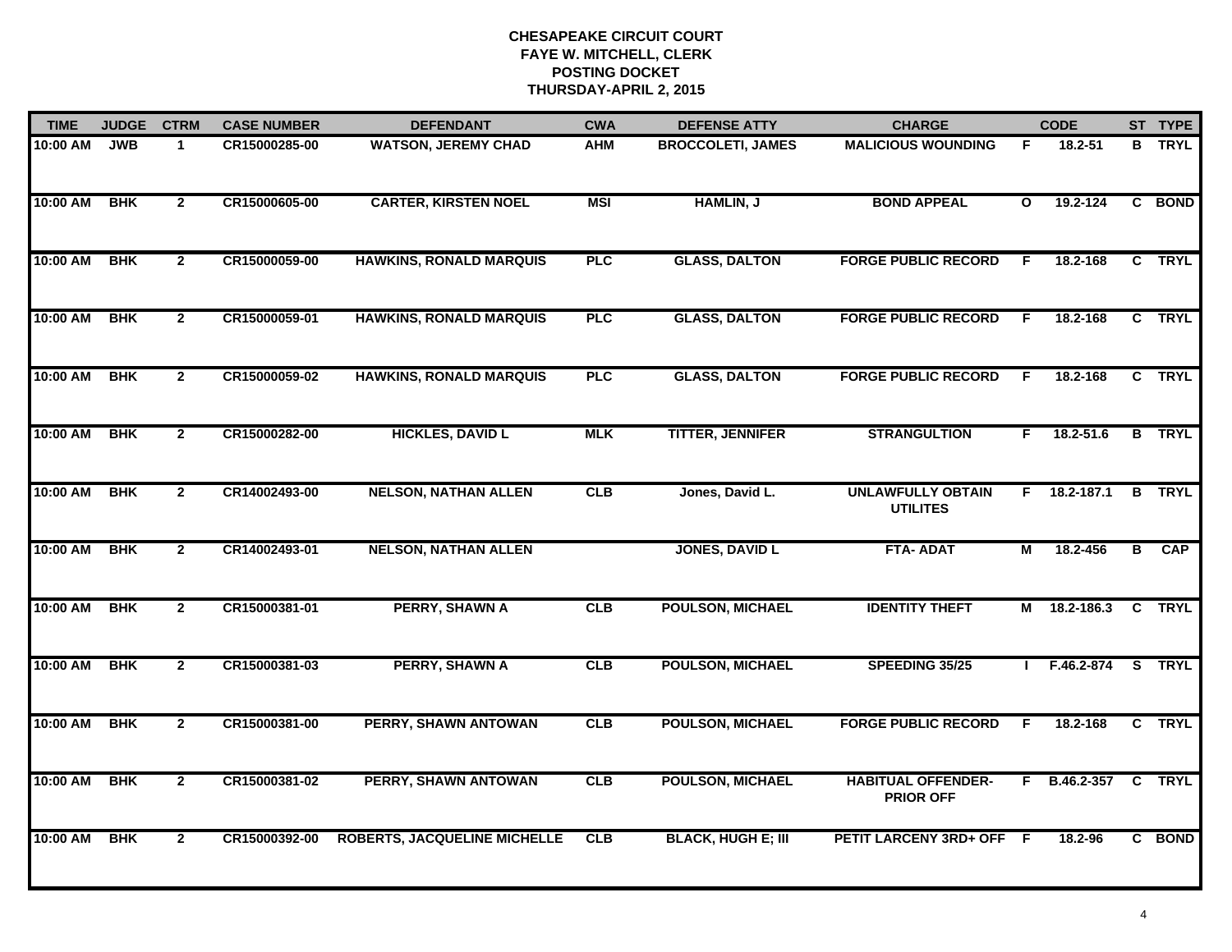| <b>TIME</b> | <b>JUDGE</b> | <b>CTRM</b>    | <b>CASE NUMBER</b> | <b>DEFENDANT</b>                    | <b>CWA</b> | <b>DEFENSE ATTY</b>       | <b>CHARGE</b>                                 |                | <b>CODE</b>    |                | ST TYPE       |
|-------------|--------------|----------------|--------------------|-------------------------------------|------------|---------------------------|-----------------------------------------------|----------------|----------------|----------------|---------------|
| 10:00 AM    | <b>JWB</b>   | $\mathbf 1$    | CR15000285-00      | <b>WATSON, JEREMY CHAD</b>          | <b>AHM</b> | <b>BROCCOLETI, JAMES</b>  | <b>MALICIOUS WOUNDING</b>                     | F              | 18.2-51        |                | <b>B</b> TRYL |
| 10:00 AM    | <b>BHK</b>   | $\overline{2}$ | CR15000605-00      | <b>CARTER, KIRSTEN NOEL</b>         | <b>MSI</b> | HAMLIN, J                 | <b>BOND APPEAL</b>                            | $\mathbf{o}$   | 19.2-124       |                | C BOND        |
| 10:00 AM    | <b>BHK</b>   | $\overline{2}$ | CR15000059-00      | <b>HAWKINS, RONALD MARQUIS</b>      | PLC        | <b>GLASS, DALTON</b>      | <b>FORGE PUBLIC RECORD</b>                    | F              | 18.2-168       |                | C TRYL        |
| 10:00 AM    | <b>BHK</b>   | $\overline{2}$ | CR15000059-01      | <b>HAWKINS, RONALD MARQUIS</b>      | PLC        | <b>GLASS, DALTON</b>      | <b>FORGE PUBLIC RECORD</b>                    | F              | 18.2-168       |                | C TRYL        |
| 10:00 AM    | <b>BHK</b>   | $\overline{2}$ | CR15000059-02      | <b>HAWKINS, RONALD MARQUIS</b>      | PLC        | <b>GLASS, DALTON</b>      | <b>FORGE PUBLIC RECORD</b>                    | F.             | 18.2-168       |                | C TRYL        |
| 10:00 AM    | <b>BHK</b>   | $\mathbf{2}$   | CR15000282-00      | <b>HICKLES, DAVID L</b>             | <b>MLK</b> | <b>TITTER, JENNIFER</b>   | <b>STRANGULTION</b>                           | F.             | 18.2-51.6      |                | <b>B</b> TRYL |
| 10:00 AM    | <b>BHK</b>   | $\mathbf{2}$   | CR14002493-00      | <b>NELSON, NATHAN ALLEN</b>         | CLB        | Jones, David L.           | <b>UNLAWFULLY OBTAIN</b><br><b>UTILITES</b>   | F.             | $18.2 - 187.1$ | B              | <b>TRYL</b>   |
| 10:00 AM    | <b>BHK</b>   | $\overline{2}$ | CR14002493-01      | <b>NELSON, NATHAN ALLEN</b>         |            | <b>JONES, DAVID L</b>     | <b>FTA-ADAT</b>                               | $\overline{M}$ | 18.2-456       | $\overline{B}$ | CAP           |
| 10:00 AM    | <b>BHK</b>   | $\overline{2}$ | CR15000381-01      | <b>PERRY, SHAWN A</b>               | CLB        | <b>POULSON, MICHAEL</b>   | <b>IDENTITY THEFT</b>                         | М              | 18.2-186.3     |                | C TRYL        |
| 10:00 AM    | <b>BHK</b>   | $\mathbf{2}$   | CR15000381-03      | <b>PERRY, SHAWN A</b>               | CLB        | <b>POULSON, MICHAEL</b>   | SPEEDING 35/25                                |                | F.46.2-874     |                | S TRYL        |
| 10:00 AM    | <b>BHK</b>   | $\mathbf{2}$   | CR15000381-00      | PERRY, SHAWN ANTOWAN                | <b>CLB</b> | <b>POULSON, MICHAEL</b>   | <b>FORGE PUBLIC RECORD</b>                    | F              | 18.2-168       |                | C TRYL        |
| 10:00 AM    | <b>BHK</b>   | $\overline{2}$ | CR15000381-02      | PERRY, SHAWN ANTOWAN                | CLB        | <b>POULSON, MICHAEL</b>   | <b>HABITUAL OFFENDER-</b><br><b>PRIOR OFF</b> | F.             | B.46.2-357     | $\overline{c}$ | <b>TRYL</b>   |
| 10:00 AM    | <b>BHK</b>   | $\overline{2}$ | CR15000392-00      | <b>ROBERTS, JACQUELINE MICHELLE</b> | CLB        | <b>BLACK, HUGH E; III</b> | PETIT LARCENY 3RD+ OFF F                      |                | 18.2-96        |                | C BOND        |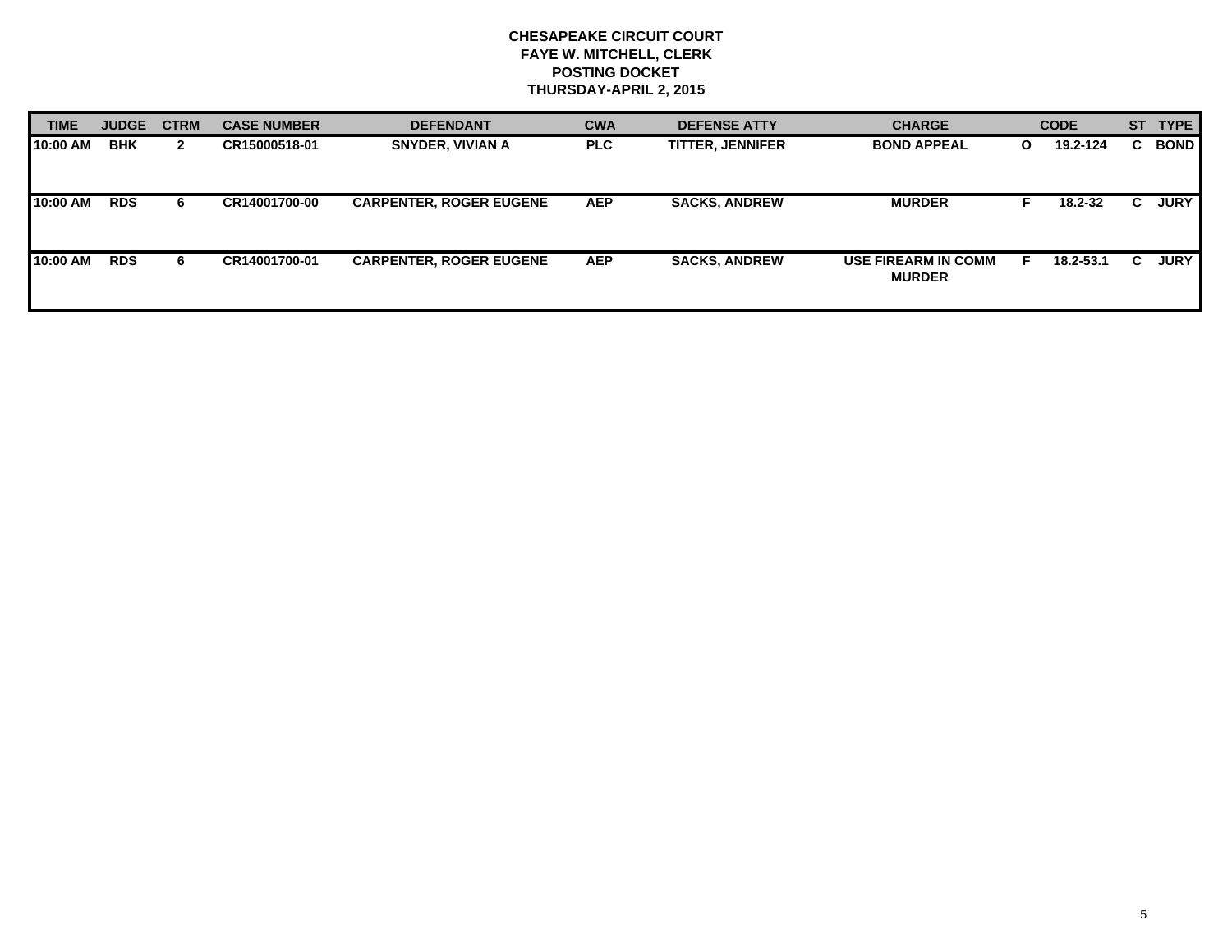| <b>TIME</b> | <b>JUDGE</b> | <b>CTRM</b>  | <b>CASE NUMBER</b> | <b>DEFENDANT</b>               |            | <b>DEFENSE ATTY</b>     | <b>CHARGE</b>                               |              | <b>CODE</b> |    | ST TYPE     |
|-------------|--------------|--------------|--------------------|--------------------------------|------------|-------------------------|---------------------------------------------|--------------|-------------|----|-------------|
| 10:00 AM    | <b>BHK</b>   | $\mathbf{2}$ | CR15000518-01      | <b>SNYDER, VIVIAN A</b>        | <b>PLC</b> | <b>TITTER, JENNIFER</b> | <b>BOND APPEAL</b>                          | $\mathbf{o}$ | 19.2-124    | C. | <b>BOND</b> |
| 10:00 AM    | <b>RDS</b>   | 6.           | CR14001700-00      | <b>CARPENTER, ROGER EUGENE</b> | <b>AEP</b> | <b>SACKS, ANDREW</b>    | <b>MURDER</b>                               |              | 18.2-32     | C. | <b>JURY</b> |
| 10:00 AM    | <b>RDS</b>   | 6.           | CR14001700-01      | <b>CARPENTER, ROGER EUGENE</b> | <b>AEP</b> | <b>SACKS, ANDREW</b>    | <b>USE FIREARM IN COMM</b><br><b>MURDER</b> |              | 18.2-53.1   | C. | <b>JURY</b> |